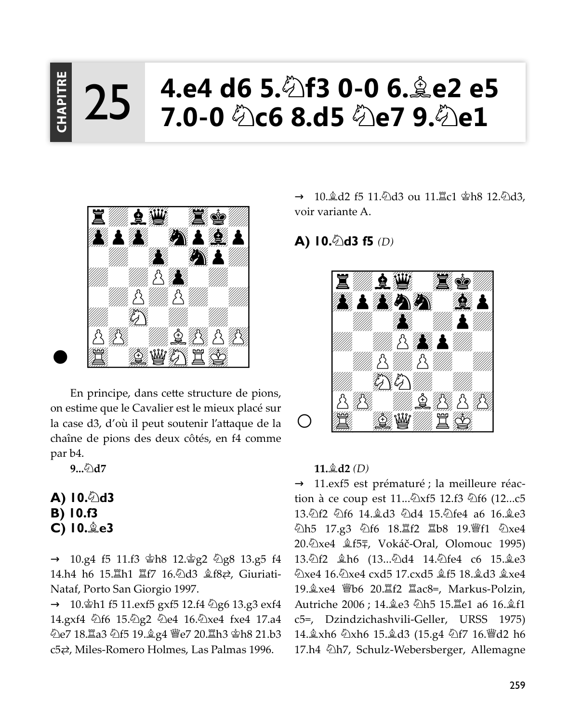### 4.e4 d6 5.��f3 0-0 6.羹e2 e!  ${\bf \bar{5}}$  $7.0-0$   $\&$  c6 8.d5  $\&$  e7 9. $\&$  e1 PITRE<br>| 25



En principe, dans cette structure de pions, on estime que le Cavalier est le mieux placé sur la case d3, d'où il peut soutenir l'attaque de la chaîne de pions des deux côtés, en f4 comme par b4.

9... 2d7

- A) 10.∕ d3 B) 10.f3
- C) 10. e3

 $\rightarrow$  10.g4 f5 11.f3  $\Phi$ h8 12. $\Phi$ g2  $\Phi$ g8 13.g5 f4 14.h4 h6 15. h1 耳f7 16. 幻d3  $$$ 氏之, Giuriati-Nataf, Porto San Giorgio 1997.

→ 10. h1 f5 11. exf5 gxf5 12. f4 2g6 13. g3 exf4 14.gxf4 4f6 15.4g2 4e4 16.4xe4 fxe4 17.a4 <u> ඩිe7 18. ටීa3 ඩිf5 19. මූ</u> යු4 මුe7 20. ටීh3 ෂාh8 21.b3  $c5\rightleftarrows$ , Miles-Romero Holmes, Las Palmas 1996.

→ 10. de 15 11. hed ou 11. Le1 \$h8 12. hed 3. voir variante A.

# A)  $10.\text{\textdegree}$ d3 f5 (D)



#### $11.4d2(D)$

→ 11.exf5 est prématuré ; la meilleure réaction à ce coup est 11...  $\&$ xf5 12.f3  $\&$ f6 (12...c5 13. 2f2 2f6 14. 2d3 2d4 15. 2fe4 a6 16. 2e3 公h5 17.g3 公f6 18. f2 基b8 19. 曾f1 公xe4 20. Dxe4  $\&$  f5<sup> $\mp$ </sup>, Vokáč-Oral, Olomouc 1995) 13. lf2  $\&$ h6 (13... ld4 14. lfe4 c6 15. ke3 Qxe4 16. 2xe4 cxd5 17. cxd5 \$f5 18. \$d3 \$xe4 /7,?UB =? @C @>@ . >OHRP1LIWFK Autriche 2006 ; 14. e3 公h5 15. Le1 a6 16. gf1 c5=, Dzindzichashvili-Geller, URSS 1975) 14. kh6 2xh6 15. kd3 (15. g4 2f7 16. Fd2 h6 17.h4  $\triangle$ h7, Schulz-Webersberger, Allemagne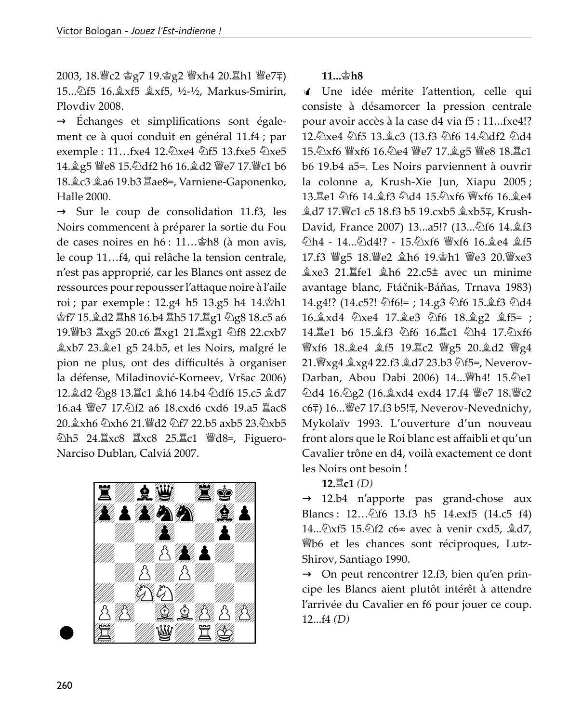2003, 18. c2 含g7 19.含g2 響xh4 20. lh1 曾e7∓) 15...公f5 16.盒xf5 盒xf5, ½-½, Markus-Smirin, Ploydiy 2008.

 $\rightarrow$  Échanges et simplifications sont également ce à quoi conduit en général 11.f4 ; par exemple : 11...fxe4 12. lxe4 2f5 13.fxe5 2xe5 14. g5 曾e8 15. adf2 h6 16. gd2 曾e7 17. 曾c1 b6 18. c3 克a6 19.b3  $\Xi$ ae8=, Varniene-Gaponenko, Halle 2000.

 $\rightarrow$  Sur le coup de consolidation 11.f3, les Noirs commencent à préparer la sortie du Fou de cases noires en h6 : 11... \$h8 (à mon avis, le coup 11...f4, qui relâche la tension centrale, n'est pas approprié, car les Blancs ont assez de ressources pour repousser l'attaque noire à l'aile roi ; par exemple : 12.g4 h5 13.g5 h4 14. th1 會f7 15. d2 Ih8 16.b4 Ih5 17. Ig1 2g8 18.c5 a6 19. b3  $\angle$ xg5 20.c6  $\angle$ xg1 21.  $\angle$ xg1 2168 22.cxb7 pion ne plus, ont des difficultés à organiser la défense, Miladinović-Korneev, Vršac 2006) 12. d2 2g8 13. Lc1 gh6 14.b4 2df6 15.c5 gd7 16.a4 曾e7 17. f2 a6 18. cxd6 cxd6 19.a5 lac8 20.  $\&$  xh6  $\&$  xh6 21.  $\&$  d2  $\&$  f7 22.b5 axb5 23.  $\&$  xb5 公h5 24. xc8 Xxc8 25. xc1 彎d8=, Figuero-Narciso Dublan, Calviá 2007.



## $11...$ gh8

√ Une idée mérite l'attention, celle qui consiste à désamorcer la pression centrale pour avoir accès à la case d4 via f5 : 11...fxe4!? 12. Axe4 4f5 13. c3 (13. f3 4f6 14. 4df2 4d4 15. 2xf6 \xf6 16. De4 \e7 17. 2g5 \e8 18. Lc1 b6 19.b4 a5=. Les Noirs parviennent à ouvrir la colonne a, Krush-Xie Jun, Xiapu 2005; 13. Le1 公f6 14. 食f3 公d4 15. 公xf6 響xf6 16. 食e4 盒d7 17. let c5 18.f3 b5 19.cxb5 盒xb5∓, Krush-David, France 2007) 13...a5!? (13...公f6 14.盒f3 වාh4 - 14…වාd4!? - 15.වාxf6 \\{Yxf6 16.உe4 உர்5 17.f3 彎g5 18.彎e2 盒h6 19.查h1 彎e3 20.彎xe3  $\&$ xe3 21. $\&$ fe1  $\&$ h6 22.c5 $\pm$  avec un minime avantage blanc, Ftáčnik-Báňas, Trnava 1983) 14.g4!? (14.c5?!  $\&$ f6!=; 14.g3  $\&$ f6 15. $\&$ f3  $\&$ d4 16. xd4 公xe4 17. ke3 公f6 18. kg2 鱼f5=; 14. Le1 b6 15. 鱼f3 公f6 16. Le1 公h4 17. 公xf6 營xf6 18.奠e4 奠f5 19.0c2 營g5 20.奠d2 營g4 21. Yxg4 盒xg4 22.f3 盒d7 23.b3 公f5=, Neverov-Darban, Abou Dabi 2006) 14... (hell 15. 2e1 <u> ධිd4 16. ධිg2 (16. kxd4 exd4 17.f4 ම</u>ී e7 18. මී c2 c6=) 16... sep 17.f3 b5!=, Neverov-Nevednichy, Mykolaïv 1993. L'ouverture d'un nouveau front alors que le Roi blanc est affaibli et qu'un Cavalier trône en d4, voilà exactement ce dont les Noirs ont besoin!

 $12.\nexists c1(D)$ 

 $\rightarrow$  12.b4 n'apporte pas grand-chose aux Blancs: 12.... 266 13.f3 h5 14.exf5 (14.c5 f4) Wb6 et les chances sont réciproques, Lutz-Shirov, Santiago 1990.

 $\rightarrow$  On peut rencontrer 12.f3, bien qu'en principe les Blancs aient plutôt intérêt à attendre l'arrivée du Cavalier en f6 pour jouer ce coup.  $12...f4(D)$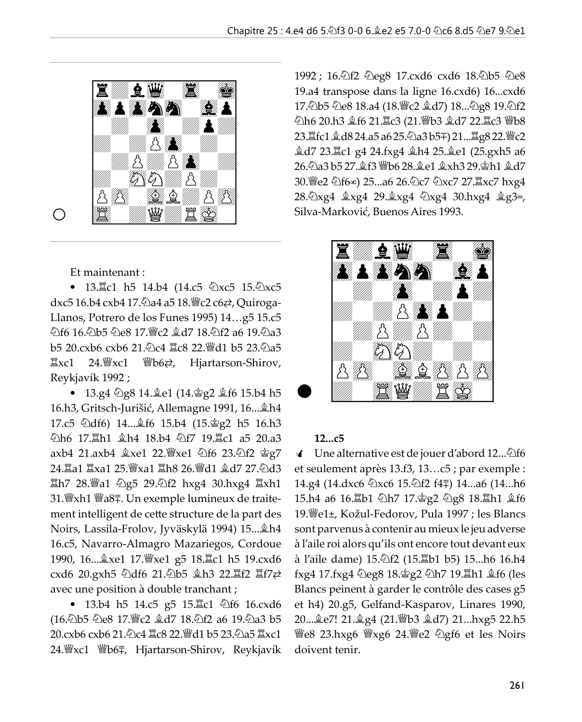

O

Et maintenant :

• 13. c1 h5 14.b4 (14.c5 2xc5 15. 2xc5 dxc5 16.b4 cxb4 17. a4 a5 18. Sc2 c6 z, Quiroga-Llanos, Potrero de los Funes 1995) 14...g5 15.c5 b5 20.cxb6 cxb6 21. hc4 骂c8 22. 彎d1 b5 23. ha5 罝xc1  $24.$  We  $xc1$ **響b6⇄**, Hjartarson-Shirov, Reykjavík 1992;

• 13.g4 2g8 14. e1 (14. g2 £f6 15.b4 h5 16.h3, Gritsch-Jurišić, Allemagne 1991, 16... kh4 17.c5 公df6) 14... 金f6 15.b4 (15. 宫g2 h5 16.h3 公h6 17. h1 鱼h4 18.b4 公f7 19. l1c1 a5 20.a3 axb4 21.axb4 盒xe1 22. fxe1 公f6 23.公f2 含g7 24.罝a1 罝xa1 25.瞥xa1 罝h8 26.瞥d1 ��d7 27.ປີd3 置h7 28. a1 ②g5 29. ①f2 hxg4 30. hxg4 置xh1 31. Wxh1 Wa8∓. Un exemple lumineux de traitement intelligent de cette structure de la part des Noirs, Lassila-Frolov, Jyväskylä 1994) 15... Åh4 16.c5, Navarro-Almagro Mazariegos, Cordoue 1990, 16... xe1 17. Fixe1 g5 18. Lc1 h5 19. cxd6 cxd6 20.gxh5 公df6 21.公b5 鱼h3 22.置f2 置f7之 avec une position à double tranchant ;

• 13.b4 h5 14.c5 g5 15. Lc1 ②f6 16.cxd6 (16.4b5 4e8 17. gc2 gd7 18.4f2 a6 19.4a3 b5 20.cxb6 cxb6 21.2c4 置c8 22. 彎d1 b5 23.2a5 置xc1 24. wxc1 Wb6〒, Hjartarson-Shirov, Reykjavík

1992; 16.2f2 2eg8 17.cxd6 cxd6 18.2b5 2e8 19.a4 transpose dans la ligne 16.cxd6) 16...cxd6 17.2b5 公e8 18.a4 (18. c2 盒d7) 18... 公g8 19. 公f2 公h6 20.h3 盒f6 21.罝c3 (21.曾b3 盒d7 22.罝c3 曾b8 23. fc1 2d8 24. a5 a6 25. 2a3 b5+) 21... 骂g8 22. 瞥c2 ĝd7 23. Lc1 g4 24. fxg4 ĝh4 25. ĝe1 (25. gxh5 a6 26. 2a3 b5 27. gf3 曾b6 28. ge1 gxh3 29. gh1 gd7 30. se2 公f6∞) 25...a6 26. Ωc7 公xc7 27. lxc7 hxg4 28. 1xg4 \$xg4 29. \$xg4 \xg4 30. hxg4 \$g3=, Silva-Marković, Buenos Aires 1993.



#### $12 \ldots c5$

Une alternative est de jouer d'abord 12... Df6 थं et seulement après 13.f3, 13...c5 ; par exemple : 14.g4 (14.dxc6 公xc6 15. 行2 f4=) 14...a6 (14...h6 15.h4 a6 16. b1 公h7 17. 宫g2 公g8 18. Lih1 盒f6 19. We1±, Kožul-Fedorov, Pula 1997 ; les Blancs sont parvenus à contenir au mieux le jeu adverse à l'aile roi alors qu'ils ont encore tout devant eux à l'aile dame) 15. 2f2 (15. Eb1 b5) 15...h6 16.h4 fxg4 17.fxg4 Deg8 18.g2 Dh7 19. h1 gf6 (les Blancs peinent à garder le contrôle des cases g5 et h4) 20.g5, Gelfand-Kasparov, Linares 1990, 20... e7! 21. g4 (21. sb3 2d7) 21...hxg5 22.h5 營e8 23.hxg6 營xg6 24. e2 勾gf6 et les Noirs doivent tenir.